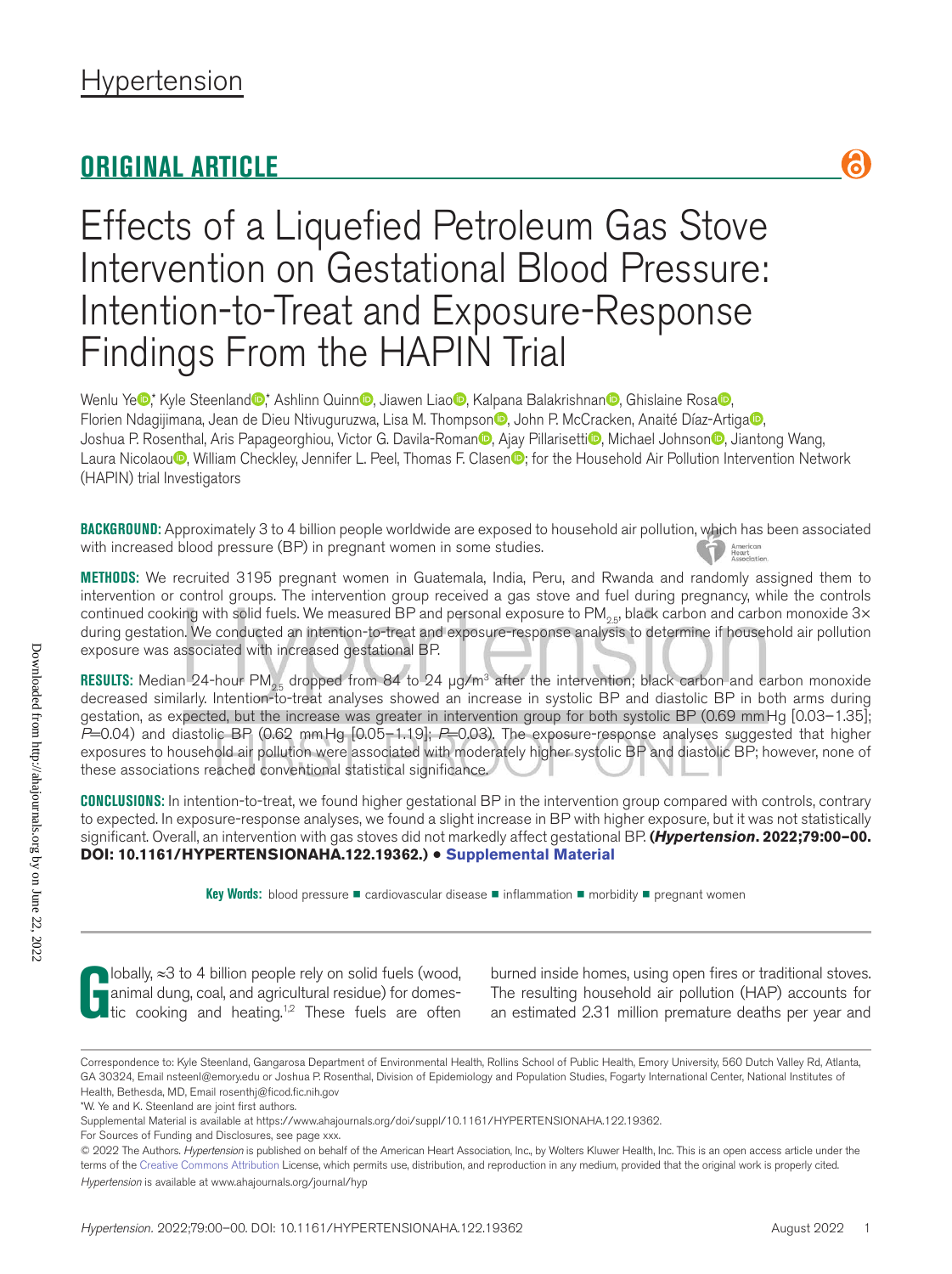# **ORIGINAL ARTICLE**



# Effects of a Liquefied Petroleum Gas Stove Intervention on Gestational Blood Pressure: Intention-to-Treat and Exposure-Response Findings From the HAPIN Trial

Wenlu Ye<sup>n</sup>, Kyle Steenland<sup>ar</sup>, Ashlinn Quinn<sup>a</sup>, Jiawen Liao<sup>n</sup>, Kalpana Balakrishnan<sup>n</sup>, Ghislaine Rosa<sup>n</sup>, Florien Ndagijimana, Jean de Dieu Ntivuguruzwa, Lisa M. Thompson<sup>o</sup>, John P. McCracken, Anaité Díaz-Artiga<sup>no</sup>, Joshua P. Rosenthal, Aris Papageorghiou, Victor G. Davila-Roman<sup>o</sup>, Ajay Pillarisetti<sup>o</sup>, Michael Johnson<sup>o</sup>, Jiantong Wang, Laura Nicolaou<sup>n</sup>, William Checkley, Jennifer L. Peel, Thomas F. Clasen<sup>n</sup>; for the Household Air Pollution Intervention Network (HAPIN) trial Investigators

**BACKGROUND:** Approximately 3 to 4 billion people worldwide are exposed to household air pollution, which has been associated with increased blood pressure (BP) in pregnant women in some studies. American<br>Heart<br>Associatio

**METHODS:** We recruited 3195 pregnant women in Guatemala, India, Peru, and Rwanda and randomly assigned them to intervention or control groups. The intervention group received a gas stove and fuel during pregnancy, while the controls continued cooking with solid fuels. We measured BP and personal exposure to  $PM_{25}$ , black carbon and carbon monoxide 3 $\times$ during gestation. We conducted an intention-to-treat and exposure-response analysis to determine if household air pollution exposure was associated with increased gestational BP.

**RESULTS:** Median 24-hour PM<sub>25</sub> dropped from 84 to 24 μg/m<sup>3</sup> after the intervention; black carbon and carbon monoxide decreased similarly. Intention-to-treat analyses showed an increase in systolic BP and diastolic BP in both arms during gestation, as expected, but the increase was greater in intervention group for both systolic BP (0.69 mmHg [0.03–1.35]; *P*=0.04) and diastolic BP (0.62 mmHg [0.05–1.19]; *P*=0.03). The exposure-response analyses suggested that higher exposures to household air pollution were associated with moderately higher systolic BP and diastolic BP; however, none of these associations reached conventional statistical significance.

**CONCLUSIONS:** In intention-to-treat, we found higher gestational BP in the intervention group compared with controls, contrary to expected. In exposure-response analyses, we found a slight increase in BP with higher exposure, but it was not statistically significant. Overall, an intervention with gas stoves did not markedly affect gestational BP. **(***Hypertension***. 2022;79:00–00. DOI: 10.1161/HYPERTENSIONAHA.122.19362.)** • **Supplemental Material**

**Key Words:** blood pressure ◼ cardiovascular disease ◼ inflammation ◼ morbidity ◼ pregnant women

**G** lobally, ≈3 to 4 billion people rely on solid fuels (wood, animal dung, coal, and agricultural residue) for domestic cooking and heating.<sup>1,2</sup> These fuels are often animal dung, coal, and agricultural residue) for domestic cooking and heating.<sup>1,2</sup> These fuels are often

burned inside homes, using open fires or traditional stoves. The resulting household air pollution (HAP) accounts for an estimated 2.31 million premature deaths per year and

Correspondence to: Kyle Steenland, Gangarosa Department of Environmental Health, Rollins School of Public Health, Emory University, 560 Dutch Valley Rd, Atlanta, GA 30324, Email [nsteenl@emory.edu](mailto:nsteenl@emory.edu) or Joshua P. Rosenthal, Division of Epidemiology and Population Studies, Fogarty International Center, National Institutes of Health, Bethesda, MD, Email [rosenthj@ficod.fic.nih.gov](mailto:rosenthj@ficod.fic.nih.gov)

<sup>\*</sup>W. Ye and K. Steenland are joint first authors.

Supplemental Material is available at https://www.ahajournals.org/doi/suppl/10.1161/HYPERTENSIONAHA.122.19362.

For Sources of Funding and Disclosures, see page xxx.

*Hypertension* is available at www.ahajournals.org/journal/hyp © 2022 The Authors. *Hypertension* is published on behalf of the American Heart Association, Inc., by Wolters Kluwer Health, Inc. This is an open access article under the terms of the Creative Commons Attribution License, which permits use, distribution, and reproduction in any medium, provided that the original work is properly cited.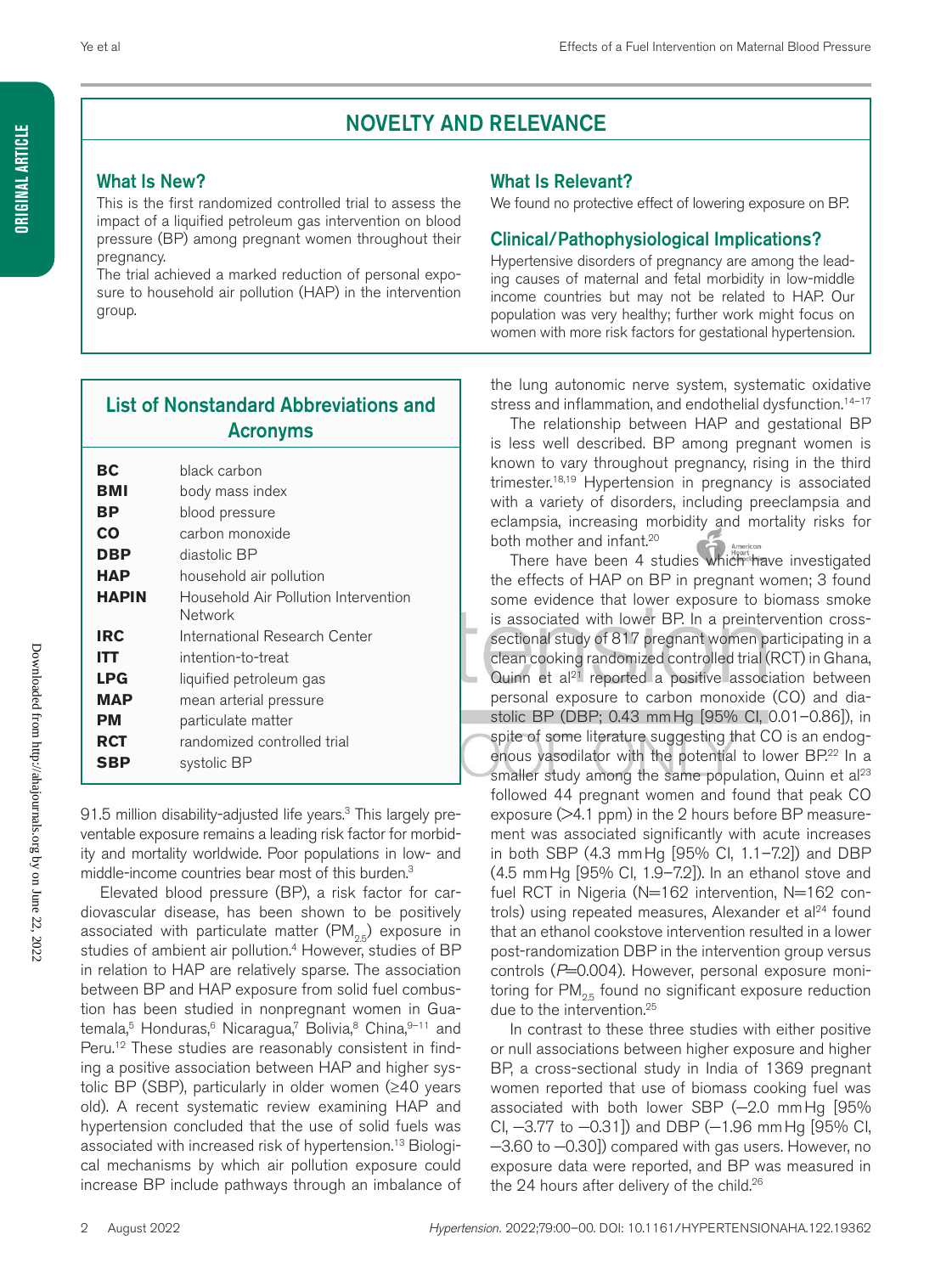## NOVELTY AND RELEVANCE

### What Is New?

This is the first randomized controlled trial to assess the impact of a liquified petroleum gas intervention on blood pressure (BP) among pregnant women throughout their pregnancy.

The trial achieved a marked reduction of personal exposure to household air pollution (HAP) in the intervention group.

#### What Is Relevant?

We found no protective effect of lowering exposure on BP.

### Clinical/Pathophysiological Implications?

Hypertensive disorders of pregnancy are among the leading causes of maternal and fetal morbidity in low-middle income countries but may not be related to HAP. Our population was very healthy; further work might focus on women with more risk factors for gestational hypertension.

### List of Nonstandard Abbreviations and Acronyms

| ВC           | black carbon                                    |
|--------------|-------------------------------------------------|
| BMI          | body mass index                                 |
| ВP           | blood pressure                                  |
| CO           | carbon monoxide                                 |
| DBP          | diastolic BP                                    |
| НАР          | household air pollution                         |
| <b>HAPIN</b> | Household Air Pollution Intervention<br>Network |
|              |                                                 |
| <b>IRC</b>   | International Research Center                   |
| ITT          | intention-to-treat                              |
| <b>LPG</b>   | liquified petroleum gas                         |
| MAP          | mean arterial pressure                          |
| PМ           | particulate matter                              |
| RCT          | randomized controlled trial                     |
| SBP          | systolic BP                                     |
|              |                                                 |

91.5 million disability-adjusted life years.<sup>3</sup> This largely preventable exposure remains a leading risk factor for morbidity and mortality worldwide. Poor populations in low- and middle-income countries bear most of this burden.3

Elevated blood pressure (BP), a risk factor for cardiovascular disease, has been shown to be positively associated with particulate matter  $(PM_{25})$  exposure in studies of ambient air pollution.<sup>4</sup> However, studies of BP in relation to HAP are relatively sparse. The association between BP and HAP exposure from solid fuel combustion has been studied in nonpregnant women in Guatemala,<sup>5</sup> Honduras,<sup>6</sup> Nicaragua,<sup>7</sup> Bolivia,<sup>8</sup> China, 9-11 and Peru.<sup>12</sup> These studies are reasonably consistent in finding a positive association between HAP and higher systolic BP (SBP), particularly in older women (≥40 years old). A recent systematic review examining HAP and hypertension concluded that the use of solid fuels was associated with increased risk of hypertension.13 Biological mechanisms by which air pollution exposure could increase BP include pathways through an imbalance of

**Original Article**

**ORIGINAL ARTICLE** 

the lung autonomic nerve system, systematic oxidative stress and inflammation, and endothelial dysfunction.<sup>14-17</sup>

The relationship between HAP and gestational BP is less well described. BP among pregnant women is known to vary throughout pregnancy, rising in the third trimester.18,19 Hypertension in pregnancy is associated with a variety of disorders, including preeclampsia and eclampsia, increasing morbidity and mortality risks for both mother and infant.<sup>20</sup>

There have been 4 studies which have investigated the effects of HAP on BP in pregnant women; 3 found some evidence that lower exposure to biomass smoke is associated with lower BP. In a preintervention crosssectional study of 817 pregnant women participating in a clean cooking randomized controlled trial (RCT) in Ghana, Quinn et  $a^{21}$  reported a positive association between personal exposure to carbon monoxide (CO) and diastolic BP (DBP; 0.43 mmHg [95% CI, 0.01–0.86]), in spite of some literature suggesting that CO is an endogenous vasodilator with the potential to lower BP.<sup>22</sup> In a smaller study among the same population, Quinn et al $23$ followed 44 pregnant women and found that peak CO exposure (>4.1 ppm) in the 2 hours before BP measurement was associated significantly with acute increases in both SBP (4.3 mmHg [95% CI, 1.1–7.2]) and DBP (4.5 mmHg [95% CI, 1.9–7.2]). In an ethanol stove and fuel RCT in Nigeria (N=162 intervention, N=162 controls) using repeated measures, Alexander et al $24$  found that an ethanol cookstove intervention resulted in a lower post-randomization DBP in the intervention group versus controls (P=0.004). However, personal exposure monitoring for  $PM_{25}$  found no significant exposure reduction due to the intervention.25

In contrast to these three studies with either positive or null associations between higher exposure and higher BP, a cross-sectional study in India of 1369 pregnant women reported that use of biomass cooking fuel was associated with both lower SBP (-2.0 mmHg [95% CI, −3.77 to −0.31]) and DBP (−1.96 mmHg [95% CI, −3.60 to −0.30]) compared with gas users. However, no exposure data were reported, and BP was measured in the 24 hours after delivery of the child.<sup>26</sup>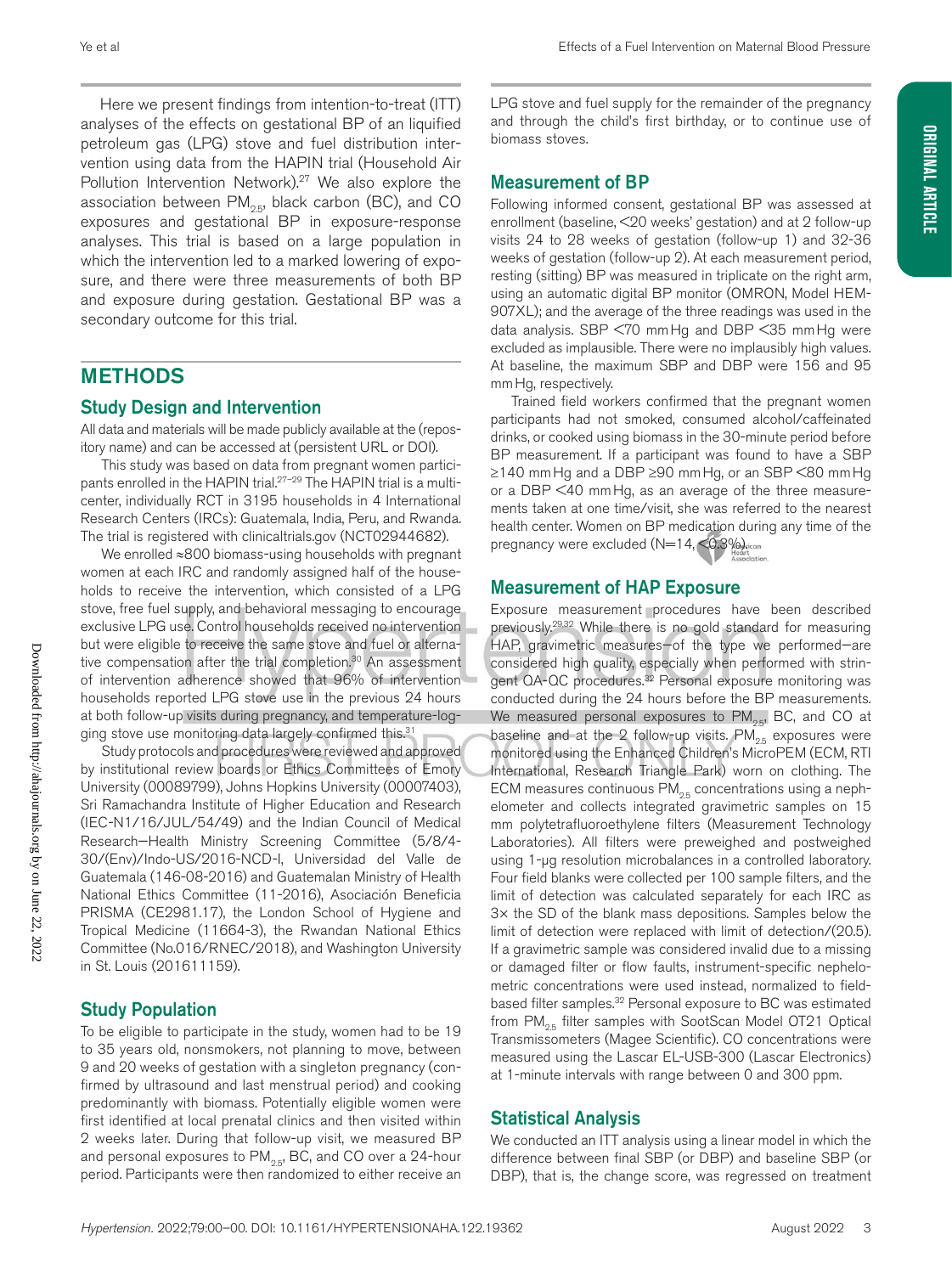Here we present findings from intention-to-treat (ITT) analyses of the effects on gestational BP of an liquified petroleum gas (LPG) stove and fuel distribution intervention using data from the HAPIN trial (Household Air Pollution Intervention Network).<sup>27</sup> We also explore the association between  $PM_{2.5}$ , black carbon (BC), and CO exposures and gestational BP in exposure-response analyses. This trial is based on a large population in which the intervention led to a marked lowering of exposure, and there were three measurements of both BP and exposure during gestation. Gestational BP was a secondary outcome for this trial.

### METHODS

### Study Design and Intervention

All data and materials will be made publicly available at the (repository name) and can be accessed at (persistent URL or DOI).

This study was based on data from pregnant women participants enrolled in the HAPIN trial.<sup>27-29</sup> The HAPIN trial is a multicenter, individually RCT in 3195 households in 4 International Research Centers (IRCs): Guatemala, India, Peru, and Rwanda. The trial is registered with clinicaltrials.gov (NCT02944682).

We enrolled ≈800 biomass-using households with pregnant women at each IRC and randomly assigned half of the households to receive the intervention, which consisted of a LPG stove, free fuel supply, and behavioral messaging to encourage exclusive LPG use. Control households received no intervention but were eligible to receive the same stove and fuel or alternative compensation after the trial completion.<sup>30</sup> An assessment of intervention adherence showed that 96% of intervention households reported LPG stove use in the previous 24 hours at both follow-up visits during pregnancy, and temperature-logging stove use monitoring data largely confirmed this.<sup>31</sup>

Study protocols and procedures were reviewed and approved by institutional review boards or Ethics Committees of Emory University (00089799), Johns Hopkins University (00007403), Sri Ramachandra Institute of Higher Education and Research (IEC-N1/16/JUL/54/49) and the Indian Council of Medical Research—Health Ministry Screening Committee (5/8/4- 30/(Env)/Indo-US/2016-NCD-I, Universidad del Valle de Guatemala (146-08-2016) and Guatemalan Ministry of Health National Ethics Committee (11-2016), Asociación Beneficia PRISMA (CE2981.17), the London School of Hygiene and Tropical Medicine (11664-3), the Rwandan National Ethics Committee (No.016/RNEC/2018), and Washington University in St. Louis (201611159).

#### Study Population

To be eligible to participate in the study, women had to be 19 to 35 years old, nonsmokers, not planning to move, between 9 and 20 weeks of gestation with a singleton pregnancy (confirmed by ultrasound and last menstrual period) and cooking predominantly with biomass. Potentially eligible women were first identified at local prenatal clinics and then visited within 2 weeks later. During that follow-up visit, we measured BP and personal exposures to  $PM_{2.5}$ , BC, and CO over a 24-hour period. Participants were then randomized to either receive an

LPG stove and fuel supply for the remainder of the pregnancy and through the child's first birthday, or to continue use of biomass stoves.

#### Measurement of BP

Following informed consent, gestational BP was assessed at enrollment (baseline, <20 weeks' gestation) and at 2 follow-up visits 24 to 28 weeks of gestation (follow-up 1) and 32-36 weeks of gestation (follow-up 2). At each measurement period, resting (sitting) BP was measured in triplicate on the right arm, using an automatic digital BP monitor (OMRON, Model HEM-907XL); and the average of the three readings was used in the data analysis. SBP <70 mmHg and DBP <35 mmHg were excluded as implausible. There were no implausibly high values. At baseline, the maximum SBP and DBP were 156 and 95 mmHg, respectively.

Trained field workers confirmed that the pregnant women participants had not smoked, consumed alcohol/caffeinated drinks, or cooked using biomass in the 30-minute period before BP measurement. If a participant was found to have a SBP ≥140 mmHg and a DBP ≥90 mmHg, or an SBP <80 mmHg or a DBP <40 mmHg, as an average of the three measurements taken at one time/visit, she was referred to the nearest health center. Women on BP medication during any time of the pregnancy were excluded  $(N=14, < 0.3\%)$ 

### Measurement of HAP Exposure

Exposure measurement procedures have been described previously.29,32 While there is no gold standard for measuring HAP, gravimetric measures—of the type we performed—are considered high quality, especially when performed with stringent QA-QC procedures.<sup>32</sup> Personal exposure monitoring was conducted during the 24 hours before the BP measurements. We measured personal exposures to  $PM_{2.5}$ , BC, and CO at baseline and at the 2 follow-up visits.  $PM_{25}$  exposures were monitored using the Enhanced Children's MicroPEM (ECM, RTI International, Research Triangle Park) worn on clothing. The ECM measures continuous  $PM_{2.5}$  concentrations using a nephelometer and collects integrated gravimetric samples on 15 mm polytetrafluoroethylene filters (Measurement Technology Laboratories). All filters were preweighed and postweighed using 1-µg resolution microbalances in a controlled laboratory. Four field blanks were collected per 100 sample filters, and the limit of detection was calculated separately for each IRC as 3× the SD of the blank mass depositions. Samples below the limit of detection were replaced with limit of detection/(20.5). If a gravimetric sample was considered invalid due to a missing or damaged filter or flow faults, instrument-specific nephelometric concentrations were used instead, normalized to fieldbased filter samples.<sup>32</sup> Personal exposure to BC was estimated from PM<sub>os</sub> filter samples with SootScan Model OT21 Optical Transmissometers (Magee Scientific). CO concentrations were measured using the Lascar EL-USB-300 (Lascar Electronics) at 1-minute intervals with range between 0 and 300 ppm.

### Statistical Analysis

We conducted an ITT analysis using a linear model in which the difference between final SBP (or DBP) and baseline SBP (or DBP), that is, the change score, was regressed on treatment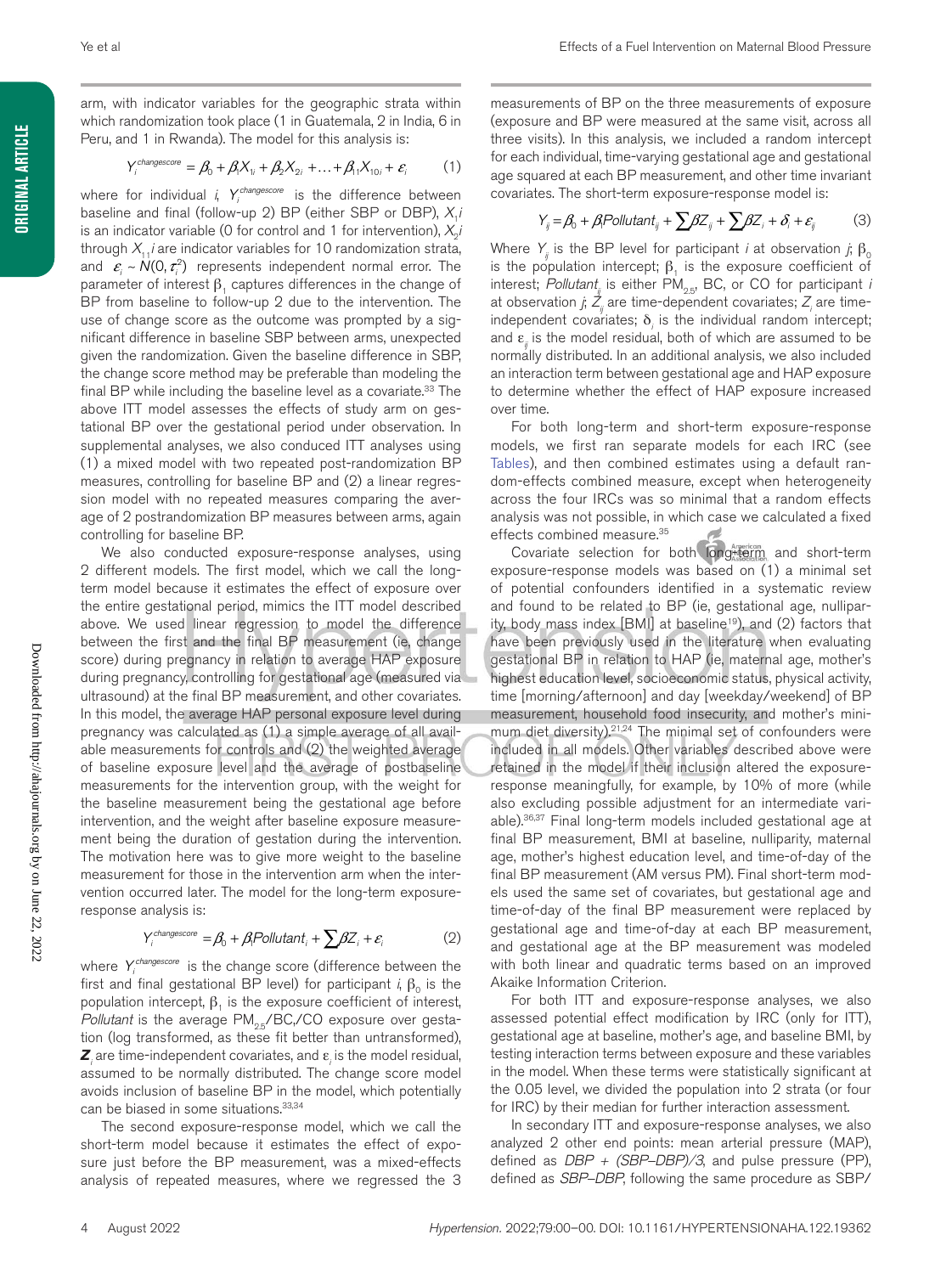**ORIGINAL ARTICLE Original Article**

arm, with indicator variables for the geographic strata within which randomization took place (1 in Guatemala, 2 in India, 6 in Peru, and 1 in Rwanda). The model for this analysis is:

$$
Y_i^{changescore} = \beta_0 + \beta_1 X_{1i} + \beta_2 X_{2i} + \dots + \beta_{11} X_{10i} + \varepsilon_i \tag{1}
$$

where for individual *i*,  $Y_i^{change score}$  is the difference between baseline and final (follow-up 2) BP (either SBP or DBP),  $X_i$ *i* is an indicator variable (0 for control and 1 for intervention),  $X_0$ *i* through  $X_{11}$ *i* are indicator variables for 10 randomization strata, and  $\varepsilon$ <sub>*i*</sub>  $\sim N(0, \tau_i^2)$  represents independent normal error. The parameter of interest  $\beta$ , captures differences in the change of BP from baseline to follow-up 2 due to the intervention. The use of change score as the outcome was prompted by a significant difference in baseline SBP between arms, unexpected given the randomization. Given the baseline difference in SBP, the change score method may be preferable than modeling the final BP while including the baseline level as a covariate.<sup>33</sup> The above ITT model assesses the effects of study arm on gestational BP over the gestational period under observation. In supplemental analyses, we also conduced ITT analyses using (1) a mixed model with two repeated post-randomization BP measures, controlling for baseline BP and (2) a linear regression model with no repeated measures comparing the average of 2 postrandomization BP measures between arms, again controlling for baseline BP.

We also conducted exposure-response analyses, using 2 different models. The first model, which we call the longterm model because it estimates the effect of exposure over the entire gestational period, mimics the ITT model described above. We used linear regression to model the difference between the first and the final BP measurement (ie, change score) during pregnancy in relation to average HAP exposure during pregnancy, controlling for gestational age (measured via ultrasound) at the final BP measurement, and other covariates. In this model, the average HAP personal exposure level during pregnancy was calculated as (1) a simple average of all available measurements for controls and (2) the weighted average of baseline exposure level and the average of postbaseline measurements for the intervention group, with the weight for the baseline measurement being the gestational age before intervention, and the weight after baseline exposure measurement being the duration of gestation during the intervention. The motivation here was to give more weight to the baseline measurement for those in the intervention arm when the intervention occurred later. The model for the long-term exposureresponse analysis is:

$$
Y_i^{changescore} = \beta_0 + \beta_i \text{Pollutant}_i + \sum \beta Z_i + \varepsilon_i \tag{2}
$$

where *Yi changescore* is the change score (difference between the first and final gestational BP level) for participant *i*,  $β_0$  is the population intercept,  $β_1$  is the exposure coefficient of interest, *Pollutant* is the average PM<sub>2.5</sub>/BC,/CO exposure over gestation (log transformed, as these fit better than untransformed),  $Z_i$  are time-independent covariates, and  $\varepsilon_i$  is the model residual, assumed to be normally distributed. The change score model avoids inclusion of baseline BP in the model, which potentially can be biased in some situations.<sup>33,34</sup>

The second exposure-response model, which we call the short-term model because it estimates the effect of exposure just before the BP measurement, was a mixed-effects analysis of repeated measures, where we regressed the 3

measurements of BP on the three measurements of exposure (exposure and BP were measured at the same visit, across all three visits). In this analysis, we included a random intercept for each individual, time-varying gestational age and gestational age squared at each BP measurement, and other time invariant covariates. The short-term exposure-response model is:

$$
Y_{ij} = \beta_0 + \beta_1 \text{Pollutant}_{ij} + \sum \beta Z_{ij} + \sum \beta Z_i + \delta_i + \varepsilon_{ij} \tag{3}
$$

Where  $Y_i$  is the BP level for participant *i* at observation *j*;  $\beta_0$ is the population intercept;  $β_1$  is the exposure coefficient of interest; *Pollutant<sub>ii</sub>* is either PM<sub>25</sub>, BC, or CO for participant *i* at observation *j*;  $\mathcal{Z}_{_{\!j}}$  are time-dependent covariates;  $\mathcal{Z}_{_{\!j}}$  are timeindependent covariates;  $\delta$ <sub>i</sub> is the individual random intercept; and ε*ij* is the model residual, both of which are assumed to be normally distributed. In an additional analysis, we also included an interaction term between gestational age and HAP exposure to determine whether the effect of HAP exposure increased over time.

For both long-term and short-term exposure-response models, we first ran separate models for each IRC (see Tables), and then combined estimates using a default random-effects combined measure, except when heterogeneity across the four IRCs was so minimal that a random effects analysis was not possible, in which case we calculated a fixed effects combined measure.35

Covariate selection for both long term and short-term exposure-response models was based on (1) a minimal set of potential confounders identified in a systematic review and found to be related to BP (ie, gestational age, nulliparity, body mass index [BMI] at baseline<sup>19</sup>), and (2) factors that have been previously used in the literature when evaluating gestational BP in relation to HAP (ie, maternal age, mother's highest education level, socioeconomic status, physical activity, time [morning/afternoon] and day [weekday/weekend] of BP measurement, household food insecurity, and mother's minimum diet diversity).<sup>21,24</sup> The minimal set of confounders were included in all models. Other variables described above were retained in the model if their inclusion altered the exposureresponse meaningfully, for example, by 10% of more (while also excluding possible adjustment for an intermediate variable).36,37 Final long-term models included gestational age at final BP measurement, BMI at baseline, nulliparity, maternal age, mother's highest education level, and time-of-day of the final BP measurement (AM versus PM). Final short-term models used the same set of covariates, but gestational age and time-of-day of the final BP measurement were replaced by gestational age and time-of-day at each BP measurement, and gestational age at the BP measurement was modeled with both linear and quadratic terms based on an improved Akaike Information Criterion.

For both ITT and exposure-response analyses, we also assessed potential effect modification by IRC (only for ITT), gestational age at baseline, mother's age, and baseline BMI, by testing interaction terms between exposure and these variables in the model. When these terms were statistically significant at the 0.05 level, we divided the population into 2 strata (or four for IRC) by their median for further interaction assessment.

In secondary ITT and exposure-response analyses, we also analyzed 2 other end points: mean arterial pressure (MAP), defined as *DBP + (SBP–DBP)/3*, and pulse pressure (PP), defined as *SBP–DBP*, following the same procedure as SBP/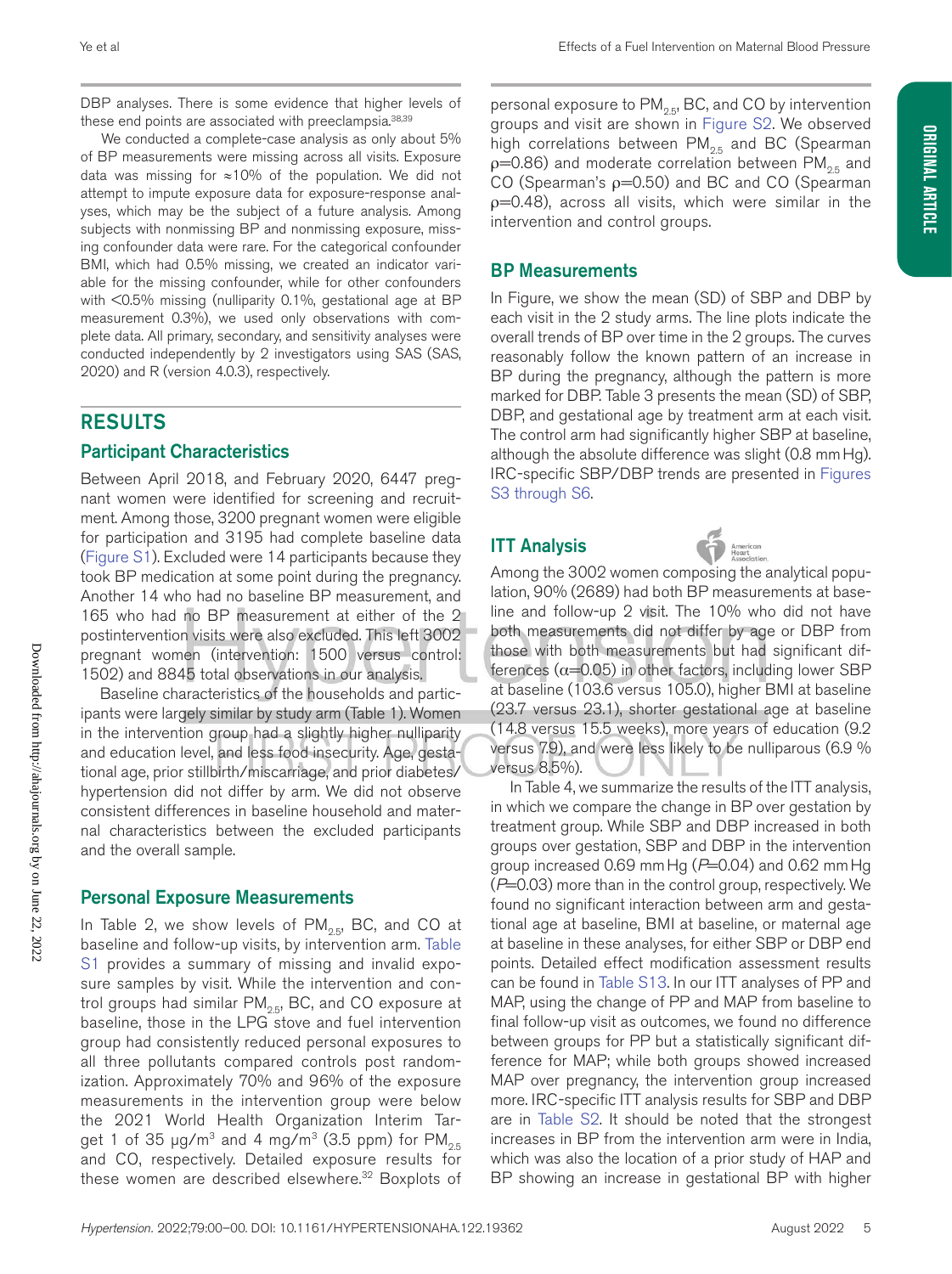DBP analyses. There is some evidence that higher levels of these end points are associated with preeclampsia.<sup>38,39</sup>

We conducted a complete-case analysis as only about 5% of BP measurements were missing across all visits. Exposure data was missing for ≈10% of the population. We did not attempt to impute exposure data for exposure-response analyses, which may be the subject of a future analysis. Among subjects with nonmissing BP and nonmissing exposure, missing confounder data were rare. For the categorical confounder BMI, which had 0.5% missing, we created an indicator variable for the missing confounder, while for other confounders with <0.5% missing (nulliparity 0.1%, gestational age at BP measurement 0.3%), we used only observations with complete data. All primary, secondary, and sensitivity analyses were conducted independently by 2 investigators using SAS (SAS, 2020) and R (version 4.0.3), respectively.

### RESULTS

#### Participant Characteristics

Between April 2018, and February 2020, 6447 pregnant women were identified for screening and recruitment. Among those, 3200 pregnant women were eligible for participation and 3195 had complete baseline data (Figure S1). Excluded were 14 participants because they took BP medication at some point during the pregnancy. Another 14 who had no baseline BP measurement, and 165 who had no BP measurement at either of the 2 postintervention visits were also excluded. This left 3002 pregnant women (intervention: 1500 versus control: 1502) and 8845 total observations in our analysis.

Baseline characteristics of the households and participants were largely similar by study arm (Table 1). Women in the intervention group had a slightly higher nulliparity and education level, and less food insecurity. Age, gestational age, prior stillbirth/miscarriage, and prior diabetes/ hypertension did not differ by arm. We did not observe consistent differences in baseline household and maternal characteristics between the excluded participants and the overall sample.

#### Personal Exposure Measurements

In Table 2, we show levels of  $PM_{2.5}$ , BC, and CO at baseline and follow-up visits, by intervention arm. Table S1 provides a summary of missing and invalid exposure samples by visit. While the intervention and control groups had similar  $PM_{25}$ , BC, and CO exposure at baseline, those in the LPG stove and fuel intervention group had consistently reduced personal exposures to all three pollutants compared controls post randomization. Approximately 70% and 96% of the exposure measurements in the intervention group were below the 2021 World Health Organization Interim Target 1 of 35  $\mu$ g/m<sup>3</sup> and 4 mg/m<sup>3</sup> (3.5 ppm) for PM<sub>25</sub> and CO, respectively. Detailed exposure results for these women are described elsewhere.<sup>32</sup> Boxplots of

personal exposure to  $PM_{2.5}$ , BC, and CO by intervention groups and visit are shown in Figure S2. We observed high correlations between  $PM_{2.5}$  and BC (Spearman  $p=0.86$ ) and moderate correlation between PM<sub>os</sub> and CO (Spearman's ρ=0.50) and BC and CO (Spearman  $p=0.48$ ), across all visits, which were similar in the intervention and control groups.

#### BP Measurements

In Figure, we show the mean (SD) of SBP and DBP by each visit in the 2 study arms. The line plots indicate the overall trends of BP over time in the 2 groups. The curves reasonably follow the known pattern of an increase in BP during the pregnancy, although the pattern is more marked for DBP. Table 3 presents the mean (SD) of SBP, DBP, and gestational age by treatment arm at each visit. The control arm had significantly higher SBP at baseline, although the absolute difference was slight (0.8 mmHg). IRC-specific SBP/DBP trends are presented in Figures S3 through S6.

### ITT Analysis



**Original Article**

ORIGINAL ARTICLE

Among the 3002 women composing the analytical population, 90% (2689) had both BP measurements at baseline and follow-up 2 visit. The 10% who did not have both measurements did not differ by age or DBP from those with both measurements but had significant differences ( $\alpha$ =0.05) in other factors, including lower SBP at baseline (103.6 versus 105.0), higher BMI at baseline (23.7 versus 23.1), shorter gestational age at baseline (14.8 versus 15.5 weeks), more years of education (9.2 versus 7.9), and were less likely to be nulliparous (6.9 % versus 8.5%).

In Table 4, we summarize the results of the ITT analysis, in which we compare the change in BP over gestation by treatment group. While SBP and DBP increased in both groups over gestation, SBP and DBP in the intervention group increased 0.69 mmHg (*P*=0.04) and 0.62 mmHg (*P*=0.03) more than in the control group, respectively. We found no significant interaction between arm and gestational age at baseline, BMI at baseline, or maternal age at baseline in these analyses, for either SBP or DBP end points. Detailed effect modification assessment results can be found in Table S13. In our ITT analyses of PP and MAP, using the change of PP and MAP from baseline to final follow-up visit as outcomes, we found no difference between groups for PP but a statistically significant difference for MAP; while both groups showed increased MAP over pregnancy, the intervention group increased more. IRC-specific ITT analysis results for SBP and DBP are in Table S2. It should be noted that the strongest increases in BP from the intervention arm were in India, which was also the location of a prior study of HAP and BP showing an increase in gestational BP with higher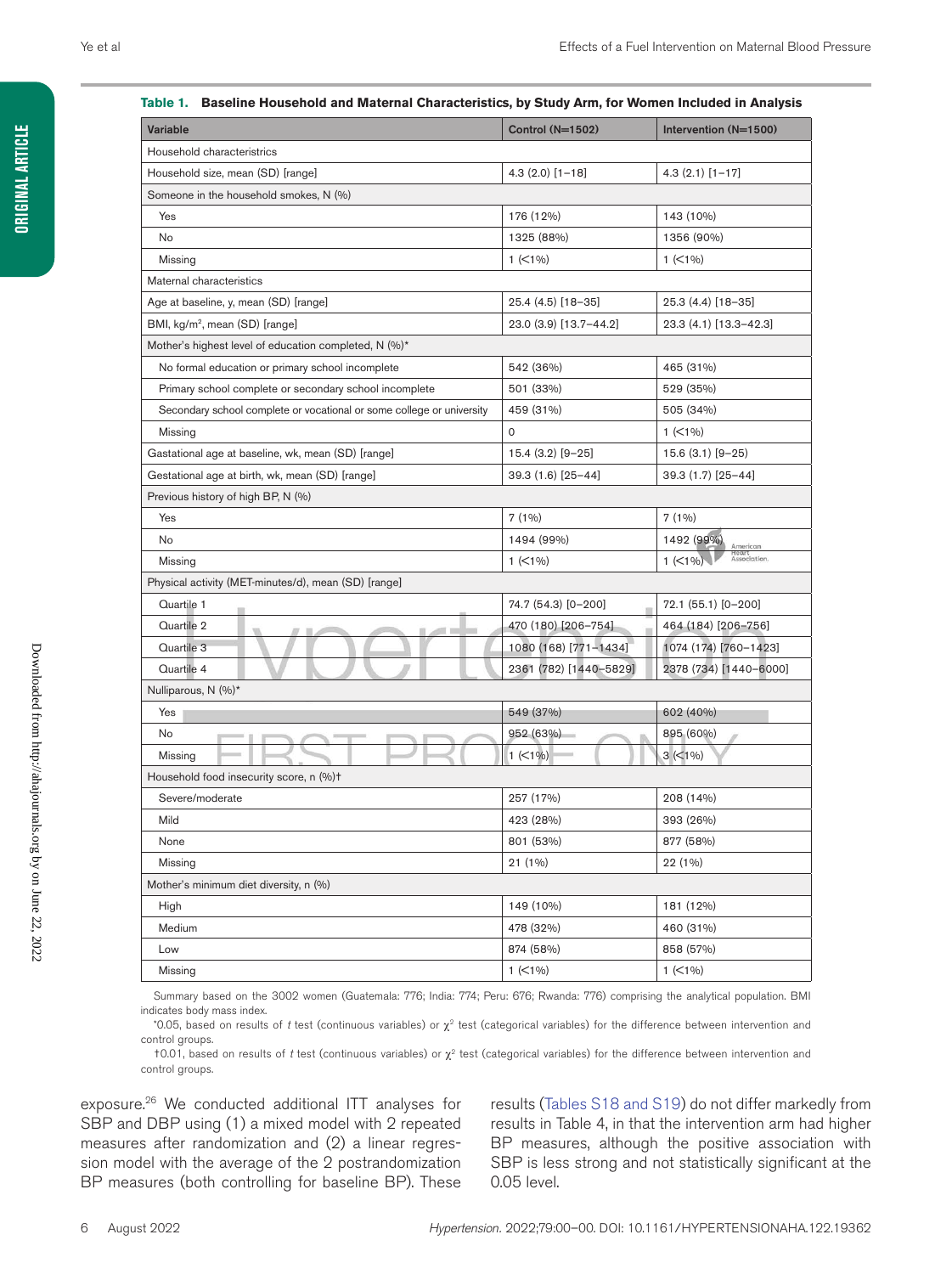### Variable Control (N=1502) Intervention (N=1500) Household characteristrics Household size, mean (SD) [range] 4.3 (2.0) [1–18] 4.3 (2.1) [1–17] Someone in the household smokes, N (%) Yes 176 (12%) 176 (12%) 176 (12%) 176 (12%) 183 (10%) No 1325 (88%) 1356 (90%) Missing 1 (<1%) 1 (<1%) Maternal characteristics Age at baseline, y, mean (SD) [range] 25.4 (4.5) [18–35] 25.4 (4.5) [18–35] 25.3 (4.4) [18–35] BMI, kg/m2, mean (SD) [range] 23.0 (3.9) [13.7–44.2] 23.3 (4.1) [13.3–42.3] Mother's highest level of education completed, N (%)\* No formal education or primary school incomplete  $\vert$  542 (36%)  $\vert$  465 (31%) Primary school complete or secondary school incomplete 501 (33%) 529 (35%) Secondary school complete or vocational or some college or university 459 (31%) 505 (34%) Missing 0 1 (<1%) Gastational age at baseline, wk, mean (SD) [range] 15.4 (3.2) [9-25] 15.6 (3.1) [9-25] Gestational age at birth, wk, mean (SD) [range] 39.3 (1.6) [25–44] 39.3 (1.7) [25–44] Previous history of high BP, N (%) Yes 7 (1%) 7 (1%) No 1494 (99%) 1492 (99%) Heart<br>Associatio Missing 1 (<1%) 1 (<1%) Physical activity (MET-minutes/d), mean (SD) [range] Quartile 1 74.7 (54.3) [0–200] 72.1 (55.1) [0–200] Quartile 2 470 (180) [206–754] 464 (184) [206–756] Quartile 3 1080 (168) [771–1434] 1074 (174) [760–1423] Quartile 4 2361 (782) [1440–5829] 2378 (734) [1440–6000] Nulliparous, N (%)\*  $\gamma_{\rm esc}$  549 (37%) 602 (40%) No 895 (60%) Missing  $1 (<1%)$   $3 (<1%)$ Household food insecurity score, n (%)† Severe/moderate 257 (17%) 208 (14%) Mild 423 (28%) 393 (26%) None 801 (53%) 801 (53%) 801 (53%) 801 (53%) 877 (58%) Missing 21 (1%) 22 (1%) Mother's minimum diet diversity, n (%) High 149 (10%) 181 (12%) Medium 478 (32%) 460 (31%) Low 874 (58%) 858 (57%) Missing 1 (<1%) 1 (<1%)

#### **Table 1. Baseline Household and Maternal Characteristics, by Study Arm, for Women Included in Analysis**

Summary based on the 3002 women (Guatemala: 776; India: 774; Peru: 676; Rwanda: 776) comprising the analytical population. BMI indicates body mass index.

\*0.05, based on results of *t* test (continuous variables) or χ2 test (categorical variables) for the difference between intervention and control groups.

†0.01, based on results of *t* test (continuous variables) or χ2 test (categorical variables) for the difference between intervention and control groups.

exposure.26 We conducted additional ITT analyses for SBP and DBP using (1) a mixed model with 2 repeated measures after randomization and (2) a linear regression model with the average of the 2 postrandomization BP measures (both controlling for baseline BP). These

results (Tables S18 and S19) do not differ markedly from results in Table 4, in that the intervention arm had higher BP measures, although the positive association with SBP is less strong and not statistically significant at the 0.05 level.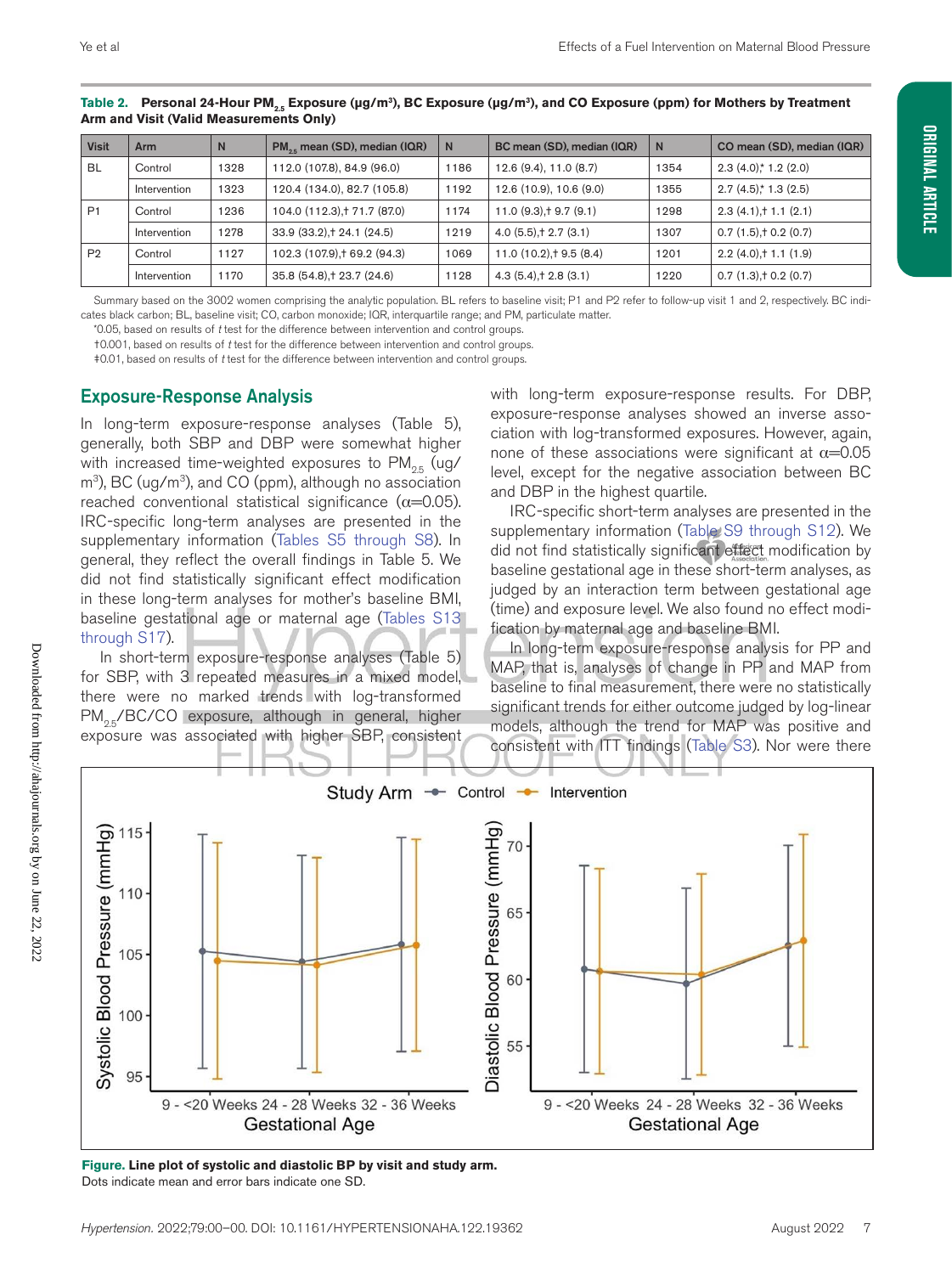| <b>Visit</b>   | <b>Arm</b>   | N    | PM <sub>or</sub> mean (SD), median (IQR) | N    | BC mean (SD), median (IQR) | N    | CO mean (SD), median (IQR) |
|----------------|--------------|------|------------------------------------------|------|----------------------------|------|----------------------------|
| <b>BL</b>      | Control      | 1328 | 112.0 (107.8), 84.9 (96.0)               | 1186 | 12.6(9.4), 11.0(8.7)       | 1354 | $2.3(4.0)$ * 1.2 $(2.0)$   |
|                | Intervention | 1323 | 120.4 (134.0), 82.7 (105.8)              | 1192 | 12.6 (10.9), 10.6 (9.0)    | 1355 | $2.7(4.5)$ * 1.3 $(2.5)$   |
| P <sub>1</sub> | Control      | 1236 | 104.0 (112.3), † 71.7 (87.0)             | 1174 | $11.0(9.3)$ + 9.7 (9.1)    | 1298 | $2.3(4.1) + 1.1(2.1)$      |
|                | Intervention | 1278 | 33.9 (33.2), † 24.1 (24.5)               | 1219 | $4.0(5.5)$ , † 2.7 (3.1)   | 1307 | $0.7(1.5)$ + 0.2 (0.7)     |
| P <sub>2</sub> | Control      | 1127 | 102.3 (107.9), † 69.2 (94.3)             | 1069 | $11.0(10.2)$ , † 9.5 (8.4) | 1201 | $2.2(4.0) + 1.1(1.9)$      |
|                | Intervention | 1170 | 35.8 (54.8) + 23.7 (24.6)                | 1128 | $4.3(5.4)$ , † 2.8 $(3.1)$ | 1220 | $0.7(1.3)$ + 0.2 (0.7)     |

Table 2. Personal 24-Hour PM<sub>2.5</sub> Exposure (μg/m<sup>3</sup>), BC Exposure (μg/m<sup>3</sup>), and CO Exposure (ppm) for Mothers by Treatment **Arm and Visit (Valid Measurements Only)**

Summary based on the 3002 women comprising the analytic population. BL refers to baseline visit; P1 and P2 refer to follow-up visit 1 and 2, respectively. BC indicates black carbon; BL, baseline visit; CO, carbon monoxide; IQR, interquartile range; and PM, particulate matter.

\*0.05, based on results of *t* test for the difference between intervention and control groups.

†0.001, based on results of *t* test for the difference between intervention and control groups.

‡0.01, based on results of *t* test for the difference between intervention and control groups.

### Exposure-Response Analysis

In long-term exposure-response analyses (Table 5), generally, both SBP and DBP were somewhat higher with increased time-weighted exposures to  $PM_{25}$  (ug/  $m<sup>3</sup>$ , BC (ug/m<sup>3</sup>), and CO (ppm), although no association reached conventional statistical significance  $(\alpha=0.05)$ . IRC-specific long-term analyses are presented in the supplementary information (Tables S5 through S8). In general, they reflect the overall findings in Table 5. We did not find statistically significant effect modification in these long-term analyses for mother's baseline BMI, baseline gestational age or maternal age (Tables S13 through S17).

In short-term exposure-response analyses (Table 5) for SBP, with 3 repeated measures in a mixed model, there were no marked trends with log-transformed  $PM_{25}/BC/CO$  exposure, although in general, higher exposure was associated with higher SBP, consistent with long-term exposure-response results. For DBP, exposure-response analyses showed an inverse association with log-transformed exposures. However, again, none of these associations were significant at  $\alpha$ =0.05 level, except for the negative association between BC and DBP in the highest quartile.

IRC-specific short-term analyses are presented in the supplementary information (Table S9 through S12). We did not find statistically significant effect modification by baseline gestational age in these short-term analyses, as judged by an interaction term between gestational age (time) and exposure level. We also found no effect modification by maternal age and baseline BMI.

In long-term exposure-response analysis for PP and MAP, that is, analyses of change in PP and MAP from baseline to final measurement, there were no statistically significant trends for either outcome judged by log-linear models, although the trend for MAP was positive and consistent with ITT findings (Table S3). Nor were there



**Figure. Line plot of systolic and diastolic BP by visit and study arm.**  Dots indicate mean and error bars indicate one SD.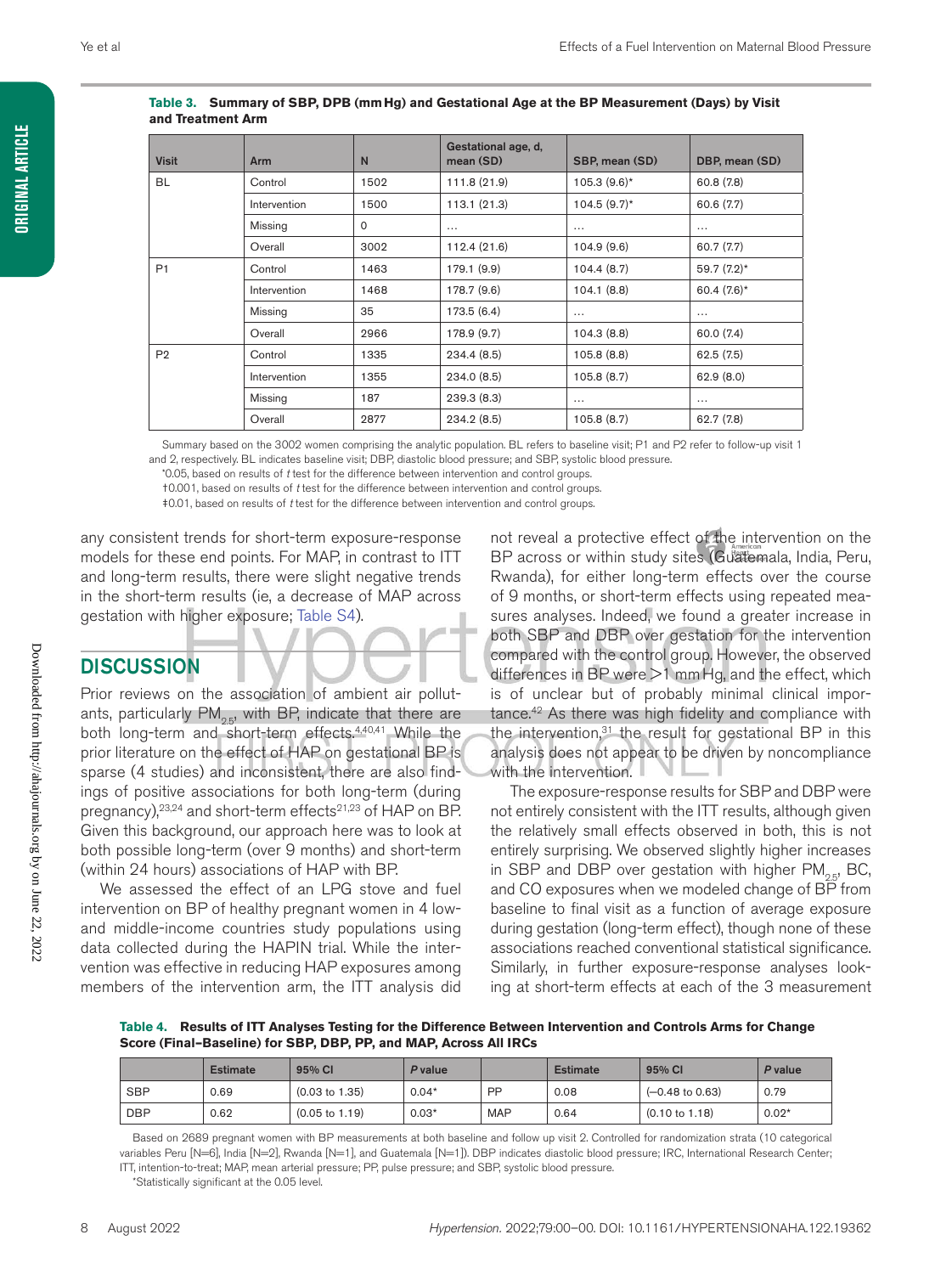| <b>Visit</b>   | <b>Arm</b>   | N           | Gestational age, d,<br>mean (SD) | SBP, mean (SD) | DBP, mean (SD) |
|----------------|--------------|-------------|----------------------------------|----------------|----------------|
| <b>BL</b>      | Control      | 1502        | 111.8 (21.9)                     | $105.3(9.6)$ * | 60.8(7.8)      |
|                | Intervention | 1500        | 113.1(21.3)                      | $104.5(9.7)$ * | 60.6 (7.7)     |
|                | Missing      | $\mathbf 0$ | $\cdots$                         | $\cdots$       | $\cdots$       |
|                | Overall      | 3002        | 112.4 (21.6)                     | 104.9 (9.6)    | 60.7 (7.7)     |
| P <sub>1</sub> | Control      | 1463        | 179.1 (9.9)                      | 104.4(8.7)     | $59.7(7.2)$ *  |
|                | Intervention | 1468        | 178.7 (9.6)                      | 104.1(8.8)     | 60.4 $(7.6)^*$ |
|                | Missing      | 35          | 173.5 (6.4)                      | $\cdots$       | $\cdots$       |
|                | Overall      | 2966        | 178.9 (9.7)                      | 104.3(8.8)     | 60.0 (7.4)     |
| P <sub>2</sub> | Control      | 1335        | 234.4(8.5)                       | 105.8(8.8)     | 62.5(7.5)      |
|                | Intervention | 1355        | 234.0 (8.5)                      | 105.8(8.7)     | 62.9(8.0)      |
|                | Missing      | 187         | 239.3(8.3)                       | $\cdots$       | $\cdots$       |
|                | Overall      | 2877        | 234.2(8.5)                       | 105.8(8.7)     | 62.7 (7.8)     |

#### **Table 3. Summary of SBP, DPB (mmHg) and Gestational Age at the BP Measurement (Days) by Visit and Treatment Arm**

Summary based on the 3002 women comprising the analytic population. BL refers to baseline visit; P1 and P2 refer to follow-up visit 1

and 2, respectively. BL indicates baseline visit; DBP, diastolic blood pressure; and SBP, systolic blood pressure.

\*0.05, based on results of *t* test for the difference between intervention and control groups.

†0.001, based on results of *t* test for the difference between intervention and control groups.

‡0.01, based on results of *t* test for the difference between intervention and control groups.

any consistent trends for short-term exposure-response models for these end points. For MAP, in contrast to ITT and long-term results, there were slight negative trends in the short-term results (ie, a decrease of MAP across gestation with higher exposure; Table S4).

### **DISCUSSION**

Prior reviews on the association of ambient air pollutants, particularly  $PM_{2.5}$ , with BP, indicate that there are both long-term and short-term effects.<sup>4,40,41</sup> While the prior literature on the effect of HAP on gestational BP is sparse (4 studies) and inconsistent, there are also findings of positive associations for both long-term (during pregnancy), <sup>23,24</sup> and short-term effects<sup>21,23</sup> of HAP on BP. Given this background, our approach here was to look at both possible long-term (over 9 months) and short-term (within 24 hours) associations of HAP with BP.

We assessed the effect of an LPG stove and fuel intervention on BP of healthy pregnant women in 4 lowand middle-income countries study populations using data collected during the HAPIN trial. While the intervention was effective in reducing HAP exposures among members of the intervention arm, the ITT analysis did

not reveal a protective effect of the intervention on the BP across or within study sites (Guatemala, India, Peru, Rwanda), for either long-term effects over the course of 9 months, or short-term effects using repeated measures analyses. Indeed, we found a greater increase in both SBP and DBP over gestation for the intervention compared with the control group. However, the observed differences in BP were >1 mmHg, and the effect, which is of unclear but of probably minimal clinical importance.<sup>42</sup> As there was high fidelity and compliance with the intervention, $31$  the result for gestational BP in this analysis does not appear to be driven by noncompliance with the intervention.

The exposure-response results for SBP and DBP were not entirely consistent with the ITT results, although given the relatively small effects observed in both, this is not entirely surprising. We observed slightly higher increases in SBP and DBP over gestation with higher  $PM_{2.5}$ , BC, and CO exposures when we modeled change of BP from baseline to final visit as a function of average exposure during gestation (long-term effect), though none of these associations reached conventional statistical significance. Similarly, in further exposure-response analyses looking at short-term effects at each of the 3 measurement

**Table 4. Results of ITT Analyses Testing for the Difference Between Intervention and Controls Arms for Change Score (Final–Baseline) for SBP, DBP, PP, and MAP, Across All IRCs**

|            | <b>Estimate</b> | 95% CI                    | P value |            | <b>Estimate</b> | 95% CI                     | P value |
|------------|-----------------|---------------------------|---------|------------|-----------------|----------------------------|---------|
| <b>SBP</b> | 0.69            | $(0.03 \text{ to } 1.35)$ | $0.04*$ | PP         | 0.08            | $(-0.48 \text{ to } 0.63)$ | 0.79    |
| <b>DBP</b> | 0.62            | $(0.05 \text{ to } 1.19)$ | $0.03*$ | <b>MAP</b> | 0.64            | $(0.10 \text{ to } 1.18)$  | $0.02*$ |

Based on 2689 pregnant women with BP measurements at both baseline and follow up visit 2. Controlled for randomization strata (10 categorical variables Peru [N=6], India [N=2], Rwanda [N=1], and Guatemala [N=1]). DBP indicates diastolic blood pressure; IRC, International Research Center; ITT, intention-to-treat; MAP, mean arterial pressure; PP, pulse pressure; and SBP, systolic blood pressure.

\*Statistically significant at the 0.05 level.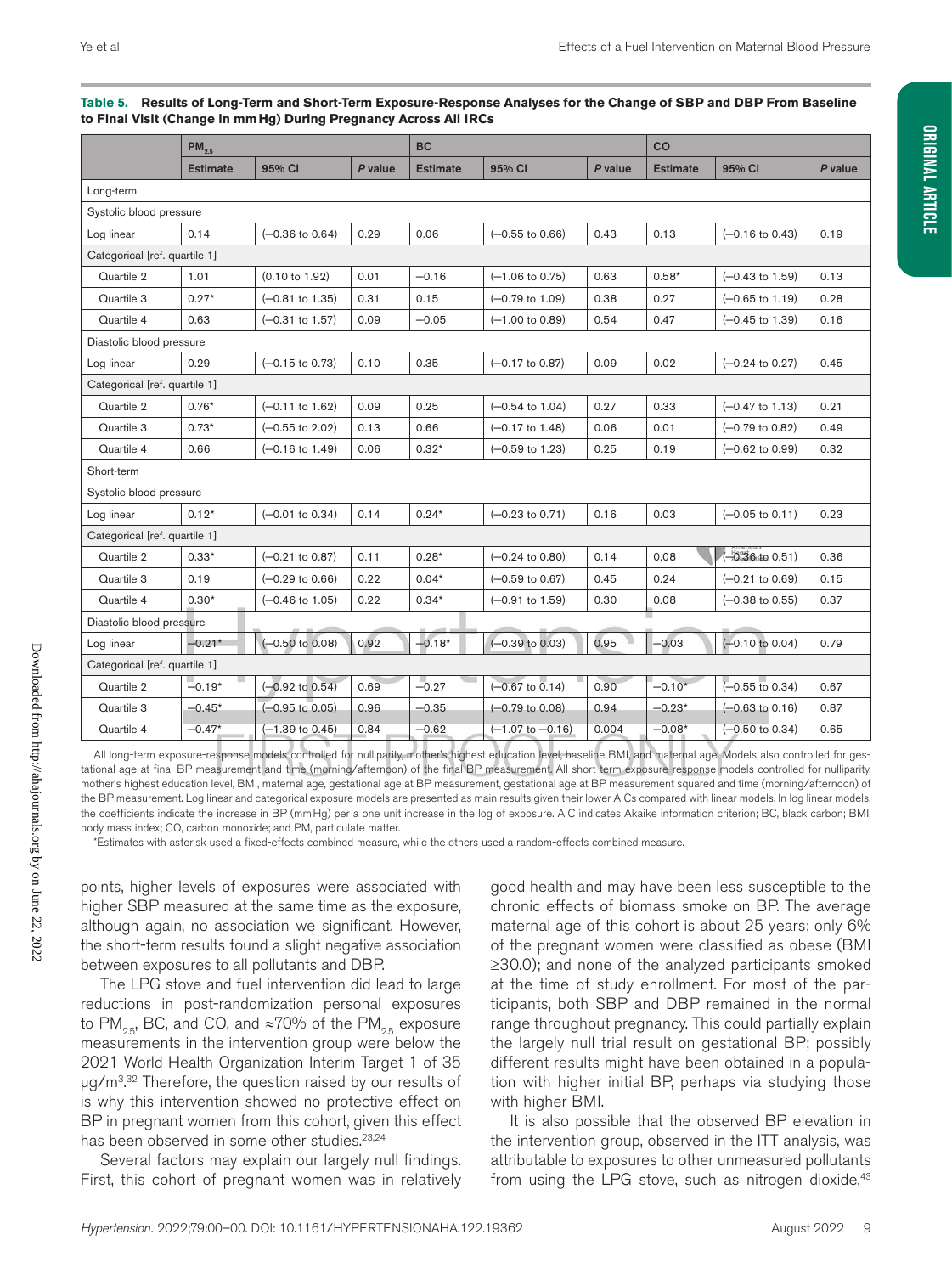| ເບ Final Visit (Ghange in mining <i>) D</i> uring Pregnancy Across An iKGs |                 |                            |         |                 |                             |         |                 |                            |         |  |
|----------------------------------------------------------------------------|-----------------|----------------------------|---------|-----------------|-----------------------------|---------|-----------------|----------------------------|---------|--|
|                                                                            | $PM_{2.5}$      |                            |         | <b>BC</b>       |                             |         |                 | co                         |         |  |
|                                                                            | <b>Estimate</b> | 95% CI                     | P value | <b>Estimate</b> | 95% CI                      | P value | <b>Estimate</b> | 95% CI                     | P value |  |
| Long-term                                                                  |                 |                            |         |                 |                             |         |                 |                            |         |  |
| Systolic blood pressure                                                    |                 |                            |         |                 |                             |         |                 |                            |         |  |
| Log linear                                                                 | 0.14            | $(-0.36 \text{ to } 0.64)$ | 0.29    | 0.06            | $(-0.55$ to $0.66)$         | 0.43    | 0.13            | $(-0.16 \text{ to } 0.43)$ | 0.19    |  |
| Categorical [ref. quartile 1]                                              |                 |                            |         |                 |                             |         |                 |                            |         |  |
| Quartile 2                                                                 | 1.01            | $(0.10 \text{ to } 1.92)$  | 0.01    | $-0.16$         | $(-1.06 \text{ to } 0.75)$  | 0.63    | $0.58*$         | $(-0.43 \text{ to } 1.59)$ | 0.13    |  |
| Quartile 3                                                                 | $0.27*$         | $(-0.81$ to 1.35)          | 0.31    | 0.15            | $(-0.79$ to 1.09)           | 0.38    | 0.27            | $(-0.65 \text{ to } 1.19)$ | 0.28    |  |
| Quartile 4                                                                 | 0.63            | $(-0.31$ to 1.57)          | 0.09    | $-0.05$         | $(-1.00 \text{ to } 0.89)$  | 0.54    | 0.47            | $(-0.45 \text{ to } 1.39)$ | 0.16    |  |
| Diastolic blood pressure                                                   |                 |                            |         |                 |                             |         |                 |                            |         |  |
| Log linear                                                                 | 0.29            | $(-0.15$ to 0.73)          | 0.10    | 0.35            | $(-0.17$ to 0.87)           | 0.09    | 0.02            | $(-0.24 \text{ to } 0.27)$ | 0.45    |  |
| Categorical [ref. quartile 1]                                              |                 |                            |         |                 |                             |         |                 |                            |         |  |
| Quartile 2                                                                 | $0.76*$         | $(-0.11$ to 1.62)          | 0.09    | 0.25            | $(-0.54 \text{ to } 1.04)$  | 0.27    | 0.33            | $(-0.47 \text{ to } 1.13)$ | 0.21    |  |
| Quartile 3                                                                 | $0.73*$         | $(-0.55$ to 2.02)          | 0.13    | 0.66            | $(-0.17 \text{ to } 1.48)$  | 0.06    | 0.01            | $(-0.79)$ to $0.82$ )      | 0.49    |  |
| Quartile 4                                                                 | 0.66            | $(-0.16 \text{ to } 1.49)$ | 0.06    | $0.32*$         | $(-0.59 \text{ to } 1.23)$  | 0.25    | 0.19            | $(-0.62 \text{ to } 0.99)$ | 0.32    |  |
| Short-term                                                                 |                 |                            |         |                 |                             |         |                 |                            |         |  |
| Systolic blood pressure                                                    |                 |                            |         |                 |                             |         |                 |                            |         |  |
| Log linear                                                                 | $0.12*$         | $(-0.01$ to 0.34)          | 0.14    | $0.24*$         | $(-0.23 \text{ to } 0.71)$  | 0.16    | 0.03            | $(-0.05 \text{ to } 0.11)$ | 0.23    |  |
| Categorical [ref. quartile 1]                                              |                 |                            |         |                 |                             |         |                 |                            |         |  |
| Quartile 2                                                                 | $0.33*$         | $(-0.21$ to 0.87)          | 0.11    | $0.28*$         | $(-0.24 \text{ to } 0.80)$  | 0.14    | 0.08            | (-0.36 to 0.51)            | 0.36    |  |
| Quartile 3                                                                 | 0.19            | $(-0.29 \text{ to } 0.66)$ | 0.22    | $0.04*$         | $(-0.59 \text{ to } 0.67)$  | 0.45    | 0.24            | (-0.21 to 0.69)            | 0.15    |  |
| Quartile 4                                                                 | $0.30*$         | $(-0.46 \text{ to } 1.05)$ | 0.22    | $0.34*$         | $(-0.91$ to 1.59)           | 0.30    | 0.08            | $(-0.38$ to $0.55)$        | 0.37    |  |
| Diastolic blood pressure                                                   |                 |                            |         |                 |                             |         |                 |                            |         |  |
| Log linear                                                                 | $-0.21*$        | $(-0.50 \text{ to } 0.08)$ | 0.92    | $-0.18*$        | $(-0.39)$ to $0.03$ )       | 0.95    | $-0.03$         | $(-0.10 \text{ to } 0.04)$ | 0.79    |  |
| Categorical [ref. quartile 1]                                              |                 |                            |         |                 |                             |         |                 |                            |         |  |
| Quartile 2                                                                 | $-0.19*$        | $(-0.92 \text{ to } 0.54)$ | 0.69    | $-0.27$         | $(-0.67 \text{ to } 0.14)$  | 0.90    | $-0.10*$        | $(-0.55 \text{ to } 0.34)$ | 0.67    |  |
| Quartile 3                                                                 | $-0.45*$        | $(-0.95 \text{ to } 0.05)$ | 0.96    | $-0.35$         | $(-0.79 \text{ to } 0.08)$  | 0.94    | $-0.23*$        | $(-0.63 \text{ to } 0.16)$ | 0.87    |  |
| Quartile 4                                                                 | $-0.47*$        | $(-1.39 \text{ to } 0.45)$ | 0.84    | $-0.62$         | $(-1.07 \text{ to } -0.16)$ | 0.004   | $-0.08*$        | $(-0.50 \text{ to } 0.34)$ | 0.65    |  |

#### **Table 5. Results of Long-Term and Short-Term Exposure-Response Analyses for the Change of SBP and DBP From Baseline to Final Visit (Change in mmHg) During Pregnancy Across All IRCs**

All long-term exposure-response models controlled for nulliparity, mother's highest education level, baseline BMI, and maternal age. Models also controlled for gestational age at final BP measurement and time (morning/afternoon) of the final BP measurement. All short-term exposure-response models controlled for nulliparity, mother's highest education level, BMI, maternal age, gestational age at BP measurement, gestational age at BP measurement squared and time (morning/afternoon) of the BP measurement. Log linear and categorical exposure models are presented as main results given their lower AICs compared with linear models. In log linear models, the coefficients indicate the increase in BP (mmHg) per a one unit increase in the log of exposure. AIC indicates Akaike information criterion; BC, black carbon; BMI, body mass index; CO, carbon monoxide; and PM, particulate matter.

\*Estimates with asterisk used a fixed-effects combined measure, while the others used a random-effects combined measure.

points, higher levels of exposures were associated with higher SBP measured at the same time as the exposure, although again, no association we significant. However, the short-term results found a slight negative association between exposures to all pollutants and DBP.

The LPG stove and fuel intervention did lead to large reductions in post-randomization personal exposures to PM<sub>25</sub>, BC, and CO, and ≈70% of the PM<sub>25</sub> exposure measurements in the intervention group were below the 2021 World Health Organization Interim Target 1 of 35 μg/m<sup>3,32</sup> Therefore, the question raised by our results of is why this intervention showed no protective effect on BP in pregnant women from this cohort, given this effect has been observed in some other studies.<sup>23,24</sup>

Several factors may explain our largely null findings. First, this cohort of pregnant women was in relatively

good health and may have been less susceptible to the chronic effects of biomass smoke on BP. The average maternal age of this cohort is about 25 years; only 6% of the pregnant women were classified as obese (BMI ≥30.0); and none of the analyzed participants smoked at the time of study enrollment. For most of the participants, both SBP and DBP remained in the normal range throughout pregnancy. This could partially explain the largely null trial result on gestational BP; possibly different results might have been obtained in a population with higher initial BP, perhaps via studying those with higher BMI.

It is also possible that the observed BP elevation in the intervention group, observed in the ITT analysis, was attributable to exposures to other unmeasured pollutants from using the LPG stove, such as nitrogen dioxide, $43$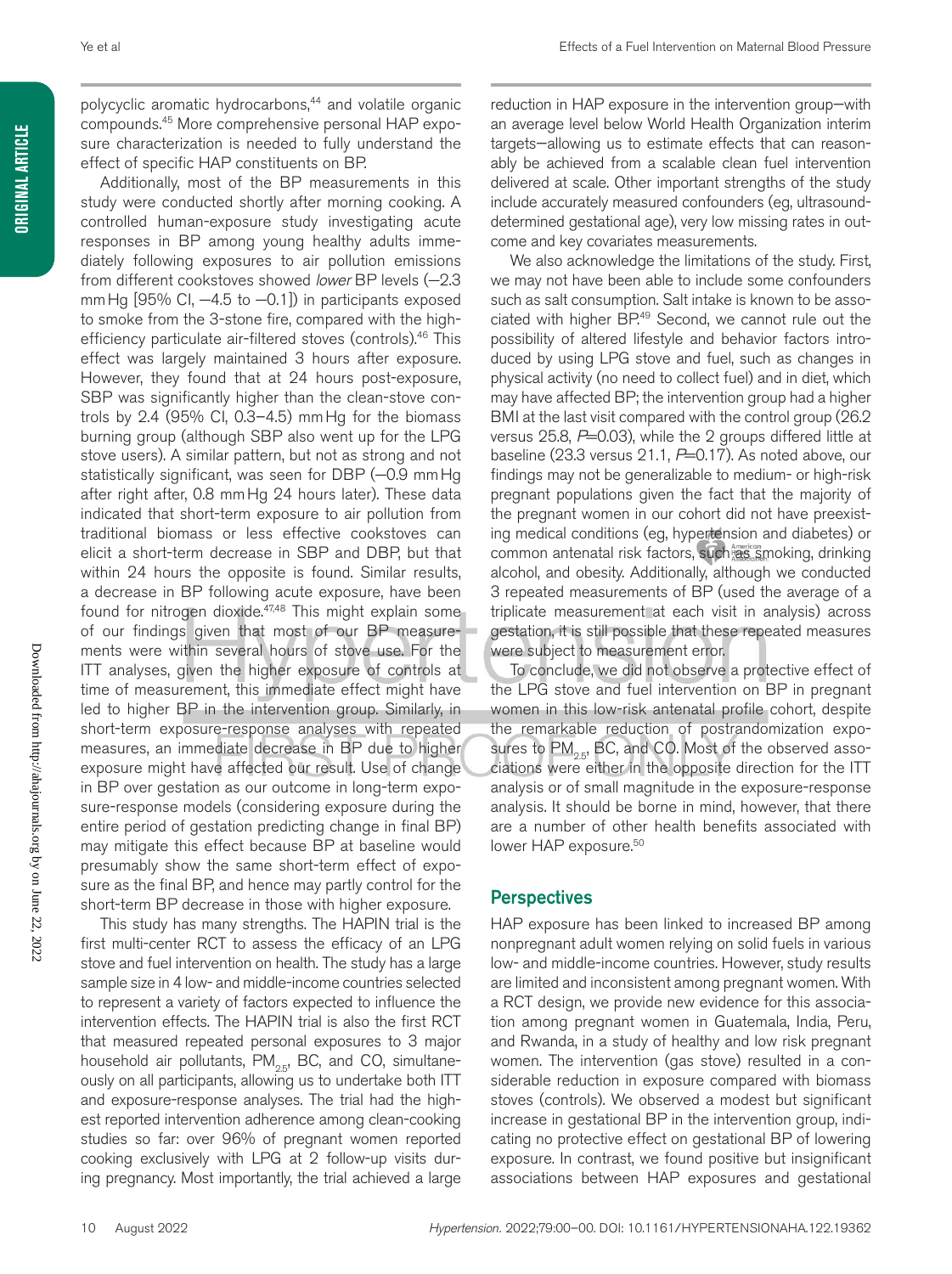**ORIGINAL ARTICLE Original Article**

> Downloaded from http://ahajournals.org by on June 22, 2022 Downloaded from http://ahajournals.org by on June 22, 2022

polycyclic aromatic hydrocarbons,<sup>44</sup> and volatile organic compounds.45 More comprehensive personal HAP exposure characterization is needed to fully understand the effect of specific HAP constituents on BP.

Additionally, most of the BP measurements in this study were conducted shortly after morning cooking. A controlled human-exposure study investigating acute responses in BP among young healthy adults immediately following exposures to air pollution emissions from different cookstoves showed *lower* BP levels (−2.3 mm Hg [95% CI, −4.5 to −0.1]) in participants exposed to smoke from the 3-stone fire, compared with the highefficiency particulate air-filtered stoves (controls).46 This effect was largely maintained 3 hours after exposure. However, they found that at 24 hours post-exposure, SBP was significantly higher than the clean-stove controls by 2.4 (95% CI,  $0.3-4.5$ ) mm Hg for the biomass burning group (although SBP also went up for the LPG stove users). A similar pattern, but not as strong and not statistically significant, was seen for DBP (-0.9 mm Hg after right after, 0.8 mmHg 24 hours later). These data indicated that short-term exposure to air pollution from traditional biomass or less effective cookstoves can elicit a short-term decrease in SBP and DBP, but that within 24 hours the opposite is found. Similar results, a decrease in BP following acute exposure, have been found for nitrogen dioxide.<sup>47,48</sup> This might explain some of our findings given that most of our BP measurements were within several hours of stove use. For the ITT analyses, given the higher exposure of controls at time of measurement, this immediate effect might have led to higher BP in the intervention group. Similarly, in short-term exposure-response analyses with repeated measures, an immediate decrease in BP due to higher exposure might have affected our result. Use of change in BP over gestation as our outcome in long-term exposure-response models (considering exposure during the entire period of gestation predicting change in final BP) may mitigate this effect because BP at baseline would presumably show the same short-term effect of exposure as the final BP, and hence may partly control for the short-term BP decrease in those with higher exposure.

This study has many strengths. The HAPIN trial is the first multi-center RCT to assess the efficacy of an LPG stove and fuel intervention on health. The study has a large sample size in 4 low- and middle-income countries selected to represent a variety of factors expected to influence the intervention effects. The HAPIN trial is also the first RCT that measured repeated personal exposures to 3 major household air pollutants,  $PM_{2.5}$ , BC, and CO, simultaneously on all participants, allowing us to undertake both ITT and exposure-response analyses. The trial had the highest reported intervention adherence among clean-cooking studies so far: over 96% of pregnant women reported cooking exclusively with LPG at 2 follow-up visits during pregnancy. Most importantly, the trial achieved a large reduction in HAP exposure in the intervention group—with an average level below World Health Organization interim targets—allowing us to estimate effects that can reasonably be achieved from a scalable clean fuel intervention delivered at scale. Other important strengths of the study include accurately measured confounders (eg, ultrasounddetermined gestational age), very low missing rates in outcome and key covariates measurements.

We also acknowledge the limitations of the study. First, we may not have been able to include some confounders such as salt consumption. Salt intake is known to be associated with higher BP.<sup>49</sup> Second, we cannot rule out the possibility of altered lifestyle and behavior factors introduced by using LPG stove and fuel, such as changes in physical activity (no need to collect fuel) and in diet, which may have affected BP; the intervention group had a higher BMI at the last visit compared with the control group (26.2 versus  $25.8$ ,  $P=0.03$ ), while the 2 groups differed little at baseline (23.3 versus 21.1, *P*=0.17). As noted above, our findings may not be generalizable to medium- or high-risk pregnant populations given the fact that the majority of the pregnant women in our cohort did not have preexisting medical conditions (eg, hypertension and diabetes) or common antenatal risk factors, such as smoking, drinking alcohol, and obesity. Additionally, although we conducted 3 repeated measurements of BP (used the average of a triplicate measurement at each visit in analysis) across gestation, it is still possible that these repeated measures were subject to measurement error.

To conclude, we did not observe a protective effect of the LPG stove and fuel intervention on BP in pregnant women in this low-risk antenatal profile cohort, despite the remarkable reduction of postrandomization exposures to  $PM_{25}$ , BC, and CO. Most of the observed associations were either in the opposite direction for the ITT analysis or of small magnitude in the exposure-response analysis. It should be borne in mind, however, that there are a number of other health benefits associated with lower HAP exposure.<sup>50</sup>

### **Perspectives**

HAP exposure has been linked to increased BP among nonpregnant adult women relying on solid fuels in various low- and middle-income countries. However, study results are limited and inconsistent among pregnant women. With a RCT design, we provide new evidence for this association among pregnant women in Guatemala, India, Peru, and Rwanda, in a study of healthy and low risk pregnant women. The intervention (gas stove) resulted in a considerable reduction in exposure compared with biomass stoves (controls). We observed a modest but significant increase in gestational BP in the intervention group, indicating no protective effect on gestational BP of lowering exposure. In contrast, we found positive but insignificant associations between HAP exposures and gestational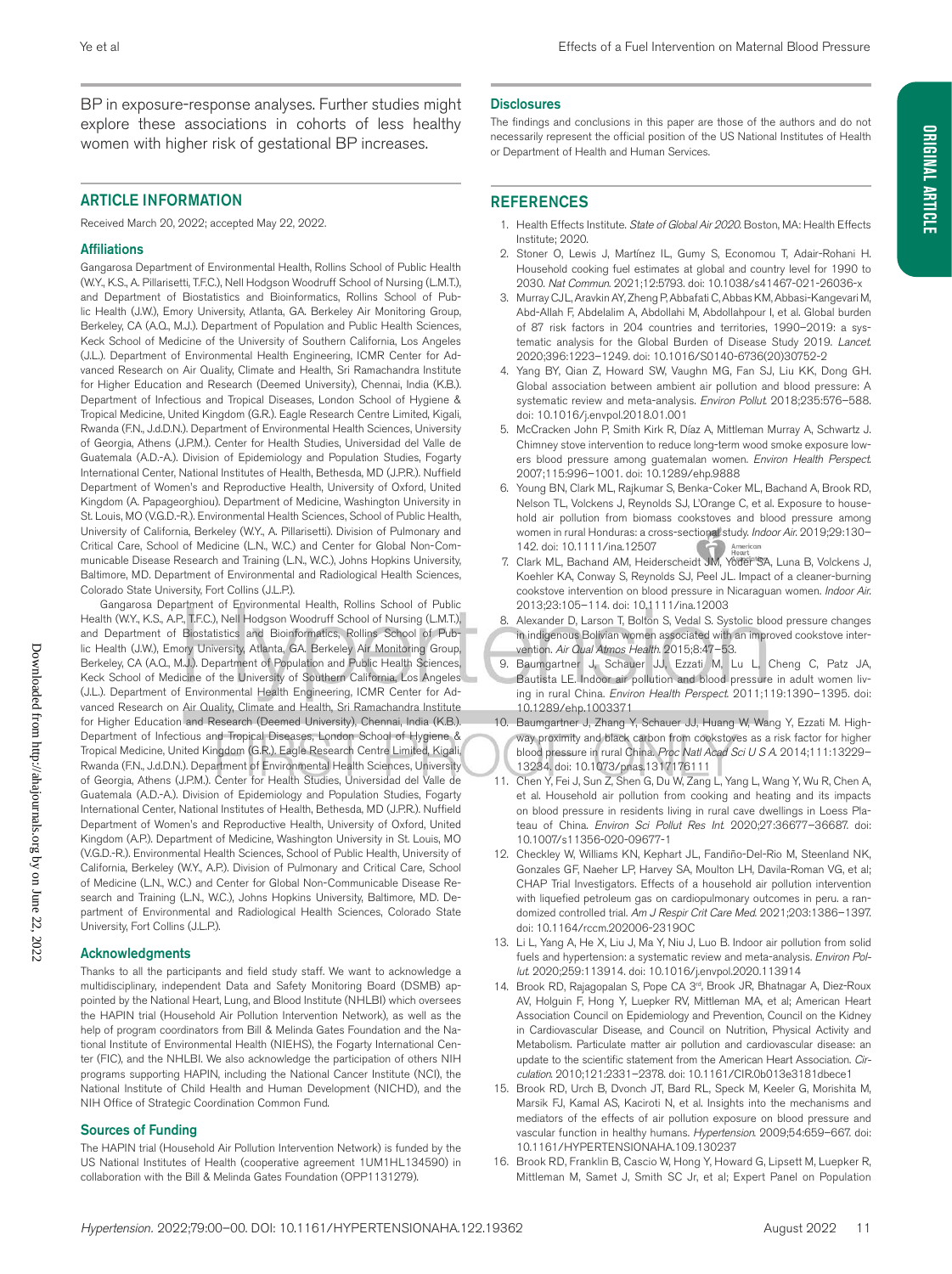BP in exposure-response analyses. Further studies might explore these associations in cohorts of less healthy women with higher risk of gestational BP increases.

#### ARTICLE INFORMATION

Received March 20, 2022; accepted May 22, 2022.

#### Affiliations

Gangarosa Department of Environmental Health, Rollins School of Public Health (W.Y., K.S., A. Pillarisetti, T.F.C.), Nell Hodgson Woodruff School of Nursing (L.M.T.), and Department of Biostatistics and Bioinformatics, Rollins School of Public Health (J.W.), Emory University, Atlanta, GA. Berkeley Air Monitoring Group, Berkeley, CA (A.Q., M.J.). Department of Population and Public Health Sciences, Keck School of Medicine of the University of Southern California, Los Angeles (J.L.). Department of Environmental Health Engineering, ICMR Center for Advanced Research on Air Quality, Climate and Health, Sri Ramachandra Institute for Higher Education and Research (Deemed University), Chennai, India (K.B.). Department of Infectious and Tropical Diseases, London School of Hygiene & Tropical Medicine, United Kingdom (G.R.). Eagle Research Centre Limited, Kigali, Rwanda (F.N., J.d.D.N.). Department of Environmental Health Sciences, University of Georgia, Athens (J.P.M.). Center for Health Studies, Universidad del Valle de Guatemala (A.D.-A.). Division of Epidemiology and Population Studies, Fogarty International Center, National Institutes of Health, Bethesda, MD (J.P.R.). Nuffield Department of Women's and Reproductive Health, University of Oxford, United Kingdom (A. Papageorghiou). Department of Medicine, Washington University in St. Louis, MO (V.G.D.-R.). Environmental Health Sciences, School of Public Health, University of California, Berkeley (W.Y., A. Pillarisetti). Division of Pulmonary and Critical Care, School of Medicine (L.N., W.C.) and Center for Global Non-Communicable Disease Research and Training (L.N., W.C.), Johns Hopkins University, Baltimore, MD. Department of Environmental and Radiological Health Sciences, Colorado State University, Fort Collins (J.L.P.).

Gangarosa Department of Environmental Health, Rollins School of Public Health (W.Y., K.S., A.P., T.F.C.), Nell Hodgson Woodruff School of Nursing (L.M.T.), and Department of Biostatistics and Bioinformatics, Rollins School of Public Health (J.W.), Emory University, Atlanta, GA. Berkeley Air Monitoring Group, Berkeley, CA (A.Q., M.J.). Department of Population and Public Health Sciences, Keck School of Medicine of the University of Southern California, Los Angeles (J.L.). Department of Environmental Health Engineering, ICMR Center for Advanced Research on Air Quality, Climate and Health, Sri Ramachandra Institute for Higher Education and Research (Deemed University), Chennai, India (K.B.). Department of Infectious and Tropical Diseases, London School of Hygiene & Tropical Medicine, United Kingdom (G.R.). Eagle Research Centre Limited, Kigali, Rwanda (F.N., J.d.D.N.). Department of Environmental Health Sciences, University of Georgia, Athens (J.P.M.). Center for Health Studies, Universidad del Valle de Guatemala (A.D.-A.). Division of Epidemiology and Population Studies, Fogarty International Center, National Institutes of Health, Bethesda, MD (J.P.R.). Nuffield Department of Women's and Reproductive Health, University of Oxford, United Kingdom (A.P.). Department of Medicine, Washington University in St. Louis, MO (V.G.D.-R.). Environmental Health Sciences, School of Public Health, University of California, Berkeley (W.Y., A.P.). Division of Pulmonary and Critical Care, School of Medicine (L.N., W.C.) and Center for Global Non-Communicable Disease Research and Training (L.N., W.C.), Johns Hopkins University, Baltimore, MD. Department of Environmental and Radiological Health Sciences, Colorado State University, Fort Collins (J.L.P.).

#### Acknowledgments

Thanks to all the participants and field study staff. We want to acknowledge a multidisciplinary, independent Data and Safety Monitoring Board (DSMB) appointed by the National Heart, Lung, and Blood Institute (NHLBI) which oversees the HAPIN trial (Household Air Pollution Intervention Network), as well as the help of program coordinators from Bill & Melinda Gates Foundation and the National Institute of Environmental Health (NIEHS), the Fogarty International Center (FIC), and the NHLBI. We also acknowledge the participation of others NIH programs supporting HAPIN, including the National Cancer Institute (NCI), the National Institute of Child Health and Human Development (NICHD), and the NIH Office of Strategic Coordination Common Fund.

#### Sources of Funding

The HAPIN trial (Household Air Pollution Intervention Network) is funded by the US National Institutes of Health (cooperative agreement 1UM1HL134590) in collaboration with the Bill & Melinda Gates Foundation (OPP1131279).

#### **Disclosures**

The findings and conclusions in this paper are those of the authors and do not necessarily represent the official position of the US National Institutes of Health or Department of Health and Human Services.

#### REFERENCES

- 1. Health Effects Institute. *State of Global Air 2020*. Boston, MA: Health Effects Institute; 2020.
- 2. Stoner O, Lewis J, Martínez IL, Gumy S, Economou T, Adair-Rohani H. Household cooking fuel estimates at global and country level for 1990 to 2030. *Nat Commun*. 2021;12:5793. doi: 10.1038/s41467-021-26036-x
- 3. Murray CJL, Aravkin AY, Zheng P, Abbafati C, Abbas KM, Abbasi-Kangevari M, Abd-Allah F, Abdelalim A, Abdollahi M, Abdollahpour I, et al. Global burden of 87 risk factors in 204 countries and territories, 1990–2019: a systematic analysis for the Global Burden of Disease Study 2019. *Lancet*. 2020;396:1223–1249. doi: 10.1016/S0140-6736(20)30752-2
- 4. Yang BY, Qian Z, Howard SW, Vaughn MG, Fan SJ, Liu KK, Dong GH. Global association between ambient air pollution and blood pressure: A systematic review and meta-analysis. *Environ Pollut*. 2018;235:576–588. doi: 10.1016/j.envpol.2018.01.001
- 5. McCracken John P, Smith Kirk R, Díaz A, Mittleman Murray A, Schwartz J. Chimney stove intervention to reduce long-term wood smoke exposure lowers blood pressure among guatemalan women. *Environ Health Perspect*. 2007;115:996–1001. doi: 10.1289/ehp.9888
- 6. Young BN, Clark ML, Rajkumar S, Benka-Coker ML, Bachand A, Brook RD, Nelson TL, Volckens J, Reynolds SJ, L'Orange C, et al. Exposure to household air pollution from biomass cookstoves and blood pressure among women in rural Honduras: a cross-sectional study. *Indoor Air*. 2019;29:130– 142. doi: 10.1111/ina.12507
- 7. Clark ML, Bachand AM, Heiderscheidt JM, Yoder SA, Luna B, Volckens J, Koehler KA, Conway S, Reynolds SJ, Peel JL. Impact of a cleaner-burning cookstove intervention on blood pressure in Nicaraguan women. *Indoor Air*. 2013;23:105–114. doi: 10.1111/ina.12003
- 8. Alexander D, Larson T, Bolton S, Vedal S. Systolic blood pressure changes in indigenous Bolivian women associated with an improved cookstove intervention. *Air Qual Atmos Health*. 2015;8:47–53.
- 9. Baumgartner J, Schauer JJ, Ezzati M, Lu L, Cheng C, Patz JA, Bautista LE. Indoor air pollution and blood pressure in adult women living in rural China. *Environ Health Perspect*. 2011;119:1390–1395. doi: 10.1289/ehp.1003371
- 10. Baumgartner J, Zhang Y, Schauer JJ, Huang W, Wang Y, Ezzati M. Highway proximity and black carbon from cookstoves as a risk factor for higher blood pressure in rural China. *Proc Natl Acad Sci U S A*. 2014;111:13229– 13234. doi: 10.1073/pnas.1317176111
- 11. Chen Y, Fei J, Sun Z, Shen G, Du W, Zang L, Yang L, Wang Y, Wu R, Chen A, et al. Household air pollution from cooking and heating and its impacts on blood pressure in residents living in rural cave dwellings in Loess Plateau of China. *Environ Sci Pollut Res Int*. 2020;27:36677–36687. doi: 10.1007/s11356-020-09677-1
- 12. Checkley W, Williams KN, Kephart JL, Fandiño-Del-Rio M, Steenland NK, Gonzales GF, Naeher LP, Harvey SA, Moulton LH, Davila-Roman VG, et al; CHAP Trial Investigators. Effects of a household air pollution intervention with liquefied petroleum gas on cardiopulmonary outcomes in peru. a randomized controlled trial. *Am J Respir Crit Care Med*. 2021;203:1386–1397. doi: 10.1164/rccm.202006-2319OC
- 13. Li L, Yang A, He X, Liu J, Ma Y, Niu J, Luo B. Indoor air pollution from solid fuels and hypertension: a systematic review and meta-analysis. *Environ Pollut*. 2020;259:113914. doi: 10.1016/j.envpol.2020.113914
- 14. Brook RD, Rajagopalan S, Pope CA 3<sup>rd</sup>, Brook JR, Bhatnagar A, Diez-Roux AV, Holguin F, Hong Y, Luepker RV, Mittleman MA, et al; American Heart Association Council on Epidemiology and Prevention, Council on the Kidney in Cardiovascular Disease, and Council on Nutrition, Physical Activity and Metabolism. Particulate matter air pollution and cardiovascular disease: an update to the scientific statement from the American Heart Association. *Circulation*. 2010;121:2331–2378. doi: 10.1161/CIR.0b013e3181dbece1
- 15. Brook RD, Urch B, Dvonch JT, Bard RL, Speck M, Keeler G, Morishita M, Marsik FJ, Kamal AS, Kaciroti N, et al. Insights into the mechanisms and mediators of the effects of air pollution exposure on blood pressure and vascular function in healthy humans. *Hypertension*. 2009;54:659–667. doi: 10.1161/HYPERTENSIONAHA.109.130237
- 16. Brook RD, Franklin B, Cascio W, Hong Y, Howard G, Lipsett M, Luepker R, Mittleman M, Samet J, Smith SC Jr, et al; Expert Panel on Population